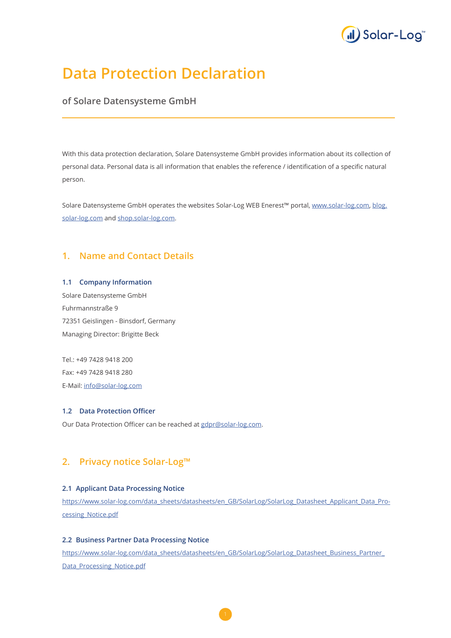

# **Data Protection Declaration**

## **of Solare Datensysteme GmbH**

With this data protection declaration, Solare Datensysteme GmbH provides information about its collection of personal data. Personal data is all information that enables the reference / identification of a specific natural person.

Solare Datensysteme GmbH operates the websites Solar-Log WEB Enerest™ portal, [www.solar-log.com](http://www.solar-log.com), [blog.](http://blog.solar-log.com) [solar-log.com](http://blog.solar-log.com) and [shop.solar-log.com.](http://shop.solar-log.com)

# **1. Name and Contact Details**

#### **1.1 Company Information**

Solare Datensysteme GmbH Fuhrmannstraße 9 72351 Geislingen - Binsdorf, Germany Managing Director: Brigitte Beck

Tel.: +49 7428 9418 200 Fax: +49 7428 9418 280 E-Mail: [info@solar-log.com](mailto://info@solar-log.com)

### **1.2 Data Protection Officer**

Our Data Protection Officer can be reached at [gdpr@solar-log.com](mailto:gdpr%40solar-log.com?subject=).

# **2. Privacy notice Solar-Log™**

### **2.1 Applicant Data Processing Notice**

[https://www.solar-log.com/data\\_sheets/datasheets/en\\_GB/SolarLog/SolarLog\\_Datasheet\\_Applicant\\_Data\\_Pro](https://www.solar-log.com/data_sheets/datasheets/en_GB/SolarLog/SolarLog_Datasheet_Applicant_Data_Processing_Notice.pdf)[cessing\\_Notice.pdf](https://www.solar-log.com/data_sheets/datasheets/en_GB/SolarLog/SolarLog_Datasheet_Applicant_Data_Processing_Notice.pdf)

#### **2.2 Business Partner Data Processing Notice**

[https://www.solar-log.com/data\\_sheets/datasheets/en\\_GB/SolarLog/SolarLog\\_Datasheet\\_Business\\_Partner\\_](https://www.solar-log.com/data_sheets/datasheets/en_GB/SolarLog/SolarLog_Datasheet_Business_Partner_Data_Processing_Notice.pdf) [Data\\_Processing\\_Notice.pdf](https://www.solar-log.com/data_sheets/datasheets/en_GB/SolarLog/SolarLog_Datasheet_Business_Partner_Data_Processing_Notice.pdf)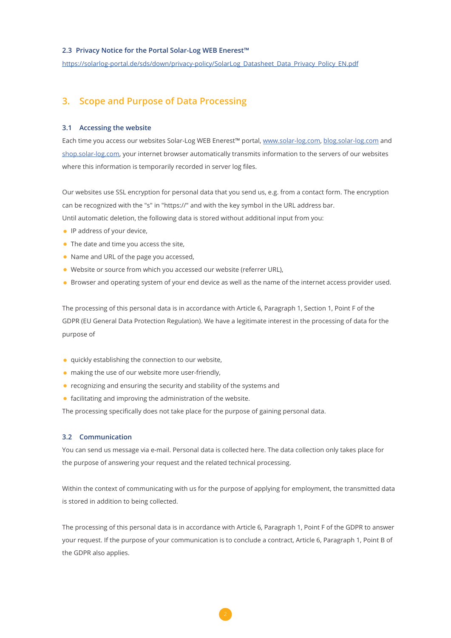#### **2.3 Privacy Notice for the Portal Solar-Log WEB Enerest™**

[https://solarlog-portal.de/sds/down/privacy-policy/SolarLog\\_Datasheet\\_Data\\_Privacy\\_Policy\\_EN.pdf](https://solarlog-portal.de/sds/down/privacy-policy/SolarLog_Datasheet_Data_Privacy_Policy_EN.pdf)

### **3. Scope and Purpose of Data Processing**

#### **3.1 Accessing the website**

Each time you access our websites Solar-Log WEB Enerest™ portal, [www.solar-log.com,](http://www.solar-log.com) [blog.solar-log.com](http://blog.solar-log.com) and [shop.solar-log.com,](http://shop.solar-log.com) your internet browser automatically transmits information to the servers of our websites where this information is temporarily recorded in server log files.

Our websites use SSL encryption for personal data that you send us, e.g. from a contact form. The encryption can be recognized with the "s" in "https://" and with the key symbol in the URL address bar. Until automatic deletion, the following data is stored without additional input from you:

- IP address of your device,
- The date and time you access the site,
- Name and URL of the page you accessed,
- Website or source from which you accessed our website (referrer URL),
- Browser and operating system of your end device as well as the name of the internet access provider used.

The processing of this personal data is in accordance with Article 6, Paragraph 1, Section 1, Point F of the GDPR (EU General Data Protection Regulation). We have a legitimate interest in the processing of data for the purpose of

- quickly establishing the connection to our website,
- making the use of our website more user-friendly,
- recognizing and ensuring the security and stability of the systems and
- facilitating and improving the administration of the website.

The processing specifically does not take place for the purpose of gaining personal data.

#### **3.2 Communication**

You can send us message via e-mail. Personal data is collected here. The data collection only takes place for the purpose of answering your request and the related technical processing.

Within the context of communicating with us for the purpose of applying for employment, the transmitted data is stored in addition to being collected.

The processing of this personal data is in accordance with Article 6, Paragraph 1, Point F of the GDPR to answer your request. If the purpose of your communication is to conclude a contract, Article 6, Paragraph 1, Point B of the GDPR also applies.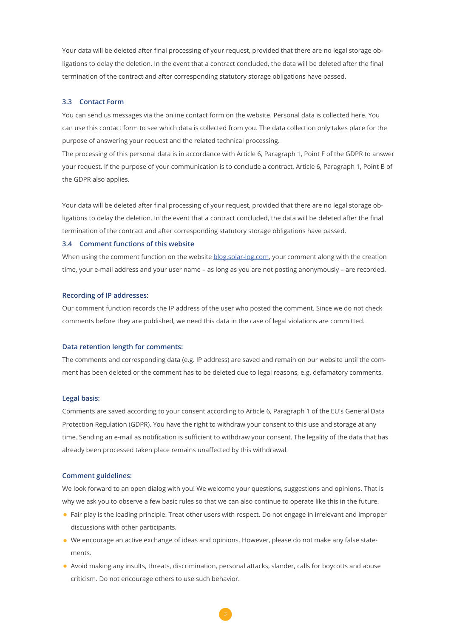Your data will be deleted after final processing of your request, provided that there are no legal storage obligations to delay the deletion. In the event that a contract concluded, the data will be deleted after the final termination of the contract and after corresponding statutory storage obligations have passed.

#### **3.3 Contact Form**

You can send us messages via the online contact form on the website. Personal data is collected here. You can use this contact form to see which data is collected from you. The data collection only takes place for the purpose of answering your request and the related technical processing.

The processing of this personal data is in accordance with Article 6, Paragraph 1, Point F of the GDPR to answer your request. If the purpose of your communication is to conclude a contract, Article 6, Paragraph 1, Point B of the GDPR also applies.

Your data will be deleted after final processing of your request, provided that there are no legal storage obligations to delay the deletion. In the event that a contract concluded, the data will be deleted after the final termination of the contract and after corresponding statutory storage obligations have passed.

#### **3.4 Comment functions of this website**

When using the comment function on the website [blog.solar-log.com,](http://blog.solar-log.com) your comment along with the creation time, your e-mail address and your user name – as long as you are not posting anonymously – are recorded.

#### **Recording of IP addresses:**

Our comment function records the IP address of the user who posted the comment. Since we do not check comments before they are published, we need this data in the case of legal violations are committed.

#### **Data retention length for comments:**

The comments and corresponding data (e.g. IP address) are saved and remain on our website until the comment has been deleted or the comment has to be deleted due to legal reasons, e.g. defamatory comments.

#### **Legal basis:**

Comments are saved according to your consent according to Article 6, Paragraph 1 of the EU's General Data Protection Regulation (GDPR). You have the right to withdraw your consent to this use and storage at any time. Sending an e-mail as notification is sufficient to withdraw your consent. The legality of the data that has already been processed taken place remains unaffected by this withdrawal.

#### **Comment guidelines:**

We look forward to an open dialog with you! We welcome your questions, suggestions and opinions. That is why we ask you to observe a few basic rules so that we can also continue to operate like this in the future.

- Fair play is the leading principle. Treat other users with respect. Do not engage in irrelevant and improper discussions with other participants.
- We encourage an active exchange of ideas and opinions. However, please do not make any false statements.
- Avoid making any insults, threats, discrimination, personal attacks, slander, calls for boycotts and abuse criticism. Do not encourage others to use such behavior.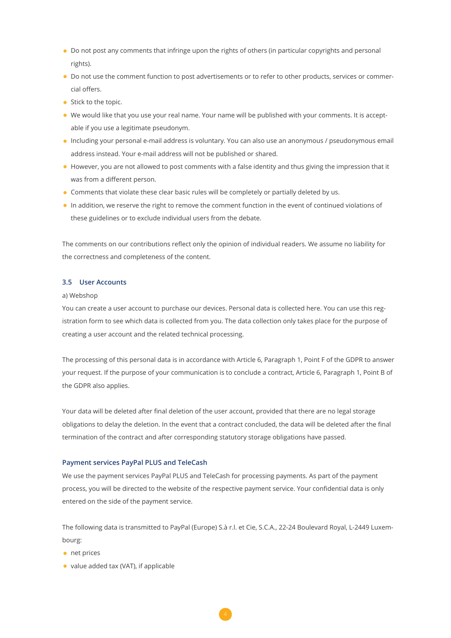- Do not post any comments that infringe upon the rights of others (in particular copyrights and personal rights).
- Do not use the comment function to post advertisements or to refer to other products, services or commercial offers.
- Stick to the topic.
- We would like that you use your real name. Your name will be published with your comments. It is acceptable if you use a legitimate pseudonym.
- Including your personal e-mail address is voluntary. You can also use an anonymous / pseudonymous email address instead. Your e-mail address will not be published or shared.
- However, you are not allowed to post comments with a false identity and thus giving the impression that it was from a different person.
- Comments that violate these clear basic rules will be completely or partially deleted by us.
- In addition, we reserve the right to remove the comment function in the event of continued violations of these guidelines or to exclude individual users from the debate.

The comments on our contributions reflect only the opinion of individual readers. We assume no liability for the correctness and completeness of the content.

#### **3.5 User Accounts**

#### a) Webshop

You can create a user account to purchase our devices. Personal data is collected here. You can use this registration form to see which data is collected from you. The data collection only takes place for the purpose of creating a user account and the related technical processing.

The processing of this personal data is in accordance with Article 6, Paragraph 1, Point F of the GDPR to answer your request. If the purpose of your communication is to conclude a contract, Article 6, Paragraph 1, Point B of the GDPR also applies.

Your data will be deleted after final deletion of the user account, provided that there are no legal storage obligations to delay the deletion. In the event that a contract concluded, the data will be deleted after the final termination of the contract and after corresponding statutory storage obligations have passed.

### **Payment services PayPal PLUS and TeleCash**

We use the payment services PayPal PLUS and TeleCash for processing payments. As part of the payment process, you will be directed to the website of the respective payment service. Your confidential data is only entered on the side of the payment service.

The following data is transmitted to PayPal (Europe) S.à r.l. et Cie, S.C.A., 22-24 Boulevard Royal, L-2449 Luxembourg:

- net prices
- value added tax (VAT), if applicable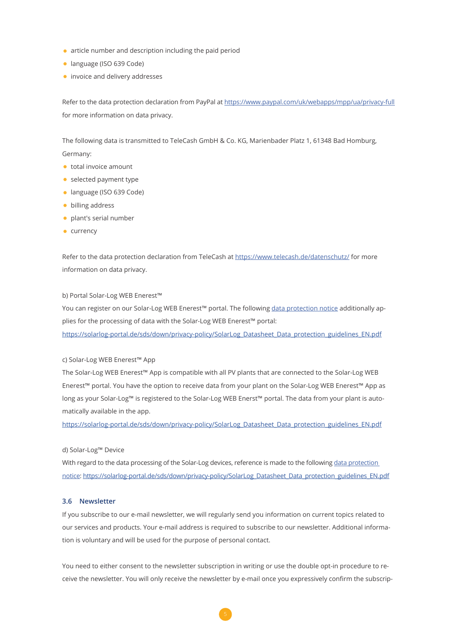- article number and description including the paid period
- language (ISO 639 Code)
- invoice and delivery addresses

Refer to the data protection declaration from PayPal at [https://www.paypal.com/uk/webapps/mpp/ua/privacy-full](https://www.paypal.com/de/webapps/mpp/ua/privacy-full?locale.x=de_DE) for more information on data privacy.

The following data is transmitted to TeleCash GmbH & Co. KG, Marienbader Platz 1, 61348 Bad Homburg, Germany:

- total invoice amount
- selected payment type
- language (ISO 639 Code)
- billing address
- plant's serial number
- currency

Refer to the data protection declaration from TeleCash at <https://www.telecash.de/datenschutz/> for more information on data privacy.

#### b) Portal Solar-Log WEB Enerest™

You can register on our Solar-Log WEB Enerest™ portal. The following [data protection notice](https://solarlog-portal.de/sds/down/privacy-policy/SolarLog_Datasheet_Data_protection_guidelines_EN.pdf) additionally applies for the processing of data with the Solar-Log WEB Enerest™ portal: [https://solarlog-portal.de/sds/down/privacy-policy/SolarLog\\_Datasheet\\_Data\\_protection\\_guidelines\\_EN.pdf](https://solarlog-portal.de/sds/down/privacy-policy/SolarLog_Datasheet_Data_protection_guidelines_EN.pdf)

#### c) Solar-Log WEB Enerest™ App

The Solar-Log WEB Enerest™ App is compatible with all PV plants that are connected to the Solar-Log WEB Enerest™ portal. You have the option to receive data from your plant on the Solar-Log WEB Enerest™ App as long as your Solar-Log™ is registered to the Solar-Log WEB Enerst™ portal. The data from your plant is automatically available in the app.

[https://solarlog-portal.de/sds/down/privacy-policy/SolarLog\\_Datasheet\\_Data\\_protection\\_guidelines\\_EN.pdf](https://solarlog-portal.de/sds/down/privacy-policy/SolarLog_Datasheet_Data_protection_guidelines_EN.pdf)

#### d) Solar-Log™ Device

With regard to the data processing of the Solar-Log devices, reference is made to the following data protection [notice:](https://solarlog-portal.de/sds/down/privacy-policy/SolarLog_Datasheet_Data_protection_guidelines_EN.pdf) [https://solarlog-portal.de/sds/down/privacy-policy/SolarLog\\_Datasheet\\_Data\\_protection\\_guidelines\\_EN.pdf](https://solarlog-portal.de/sds/down/privacy-policy/SolarLog_Datasheet_Data_protection_guidelines_EN.pdf)

### **3.6 Newsletter**

If you subscribe to our e-mail newsletter, we will regularly send you information on current topics related to our services and products. Your e-mail address is required to subscribe to our newsletter. Additional information is voluntary and will be used for the purpose of personal contact.

You need to either consent to the newsletter subscription in writing or use the double opt-in procedure to receive the newsletter. You will only receive the newsletter by e-mail once you expressively confirm the subscrip-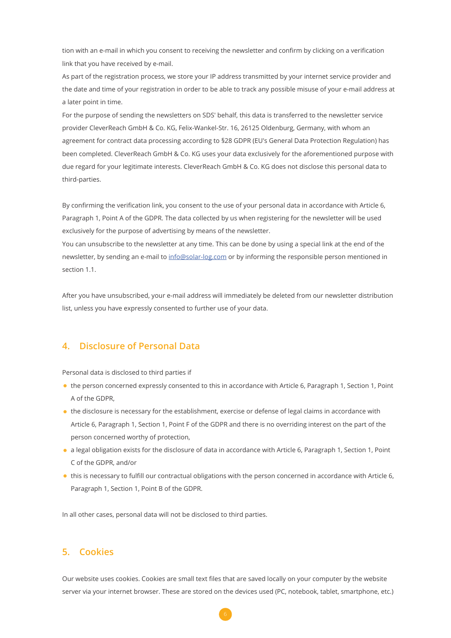tion with an e-mail in which you consent to receiving the newsletter and confirm by clicking on a verification link that you have received by e-mail.

As part of the registration process, we store your IP address transmitted by your internet service provider and the date and time of your registration in order to be able to track any possible misuse of your e-mail address at a later point in time.

For the purpose of sending the newsletters on SDS' behalf, this data is transferred to the newsletter service provider CleverReach GmbH & Co. KG, Felix-Wankel-Str. 16, 26125 Oldenburg, Germany, with whom an agreement for contract data processing according to §28 GDPR (EU's General Data Protection Regulation) has been completed. CleverReach GmbH & Co. KG uses your data exclusively for the aforementioned purpose with due regard for your legitimate interests. CleverReach GmbH & Co. KG does not disclose this personal data to third-parties.

By confirming the verification link, you consent to the use of your personal data in accordance with Article 6, Paragraph 1, Point A of the GDPR. The data collected by us when registering for the newsletter will be used exclusively for the purpose of advertising by means of the newsletter.

You can unsubscribe to the newsletter at any time. This can be done by using a special link at the end of the newsletter, by sending an e-mail to [info@solar-log.com](mailto://info@solar-log.com) or by informing the responsible person mentioned in section 1.1.

After you have unsubscribed, your e-mail address will immediately be deleted from our newsletter distribution list, unless you have expressly consented to further use of your data.

# **4. Disclosure of Personal Data**

Personal data is disclosed to third parties if

- the person concerned expressly consented to this in accordance with Article 6, Paragraph 1, Section 1, Point A of the GDPR,
- the disclosure is necessary for the establishment, exercise or defense of legal claims in accordance with Article 6, Paragraph 1, Section 1, Point F of the GDPR and there is no overriding interest on the part of the person concerned worthy of protection,
- a legal obligation exists for the disclosure of data in accordance with Article 6, Paragraph 1, Section 1, Point C of the GDPR, and/or
- this is necessary to fulfill our contractual obligations with the person concerned in accordance with Article 6, Paragraph 1, Section 1, Point B of the GDPR.

In all other cases, personal data will not be disclosed to third parties.

## **5. Cookies**

Our website uses cookies. Cookies are small text files that are saved locally on your computer by the website server via your internet browser. These are stored on the devices used (PC, notebook, tablet, smartphone, etc.)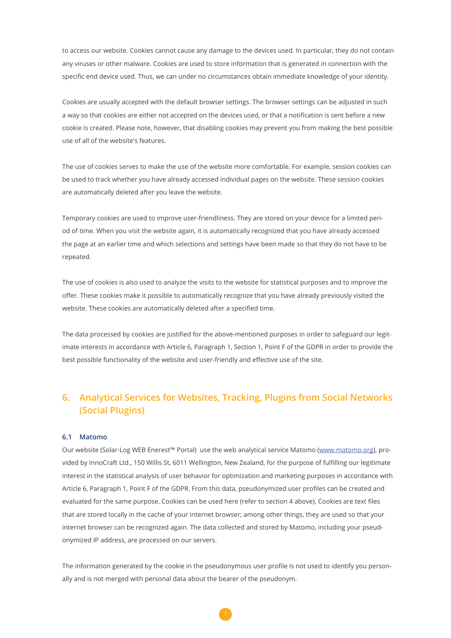to access our website. Cookies cannot cause any damage to the devices used. In particular, they do not contain any viruses or other malware. Cookies are used to store information that is generated in connection with the specific end device used. Thus, we can under no circumstances obtain immediate knowledge of your identity.

Cookies are usually accepted with the default browser settings. The browser settings can be adjusted in such a way so that cookies are either not accepted on the devices used, or that a notification is sent before a new cookie is created. Please note, however, that disabling cookies may prevent you from making the best possible use of all of the website's features.

The use of cookies serves to make the use of the website more comfortable. For example, session cookies can be used to track whether you have already accessed individual pages on the website. These session cookies are automatically deleted after you leave the website.

Temporary cookies are used to improve user-friendliness. They are stored on your device for a limited period of time. When you visit the website again, it is automatically recognized that you have already accessed the page at an earlier time and which selections and settings have been made so that they do not have to be repeated.

The use of cookies is also used to analyze the visits to the website for statistical purposes and to improve the offer. These cookies make it possible to automatically recognize that you have already previously visited the website. These cookies are automatically deleted after a specified time.

The data processed by cookies are justified for the above-mentioned purposes in order to safeguard our legitimate interests in accordance with Article 6, Paragraph 1, Section 1, Point F of the GDPR in order to provide the best possible functionality of the website and user-friendly and effective use of the site.

# **6. Analytical Services for Websites, Tracking, Plugins from Social Networks (Social Plugins)**

### **6.1 Matomo**

Our website (Solar-Log WEB Enerest™ Portal) use the web analytical service Matomo ([www.matomo.org](http://www.matomo.org)), provided by InnoCraft Ltd., 150 Willis St, 6011 Wellington, New Zealand, for the purpose of fulfilling our legitimate interest in the statistical analysis of user behavior for optimization and marketing purposes in accordance with Article 6, Paragraph 1, Point F of the GDPR. From this data, pseudonymized user profiles can be created and evaluated for the same purpose. Cookies can be used here (refer to section 4 above). Cookies are text files that are stored locally in the cache of your internet browser; among other things, they are used so that your internet browser can be recognized again. The data collected and stored by Matomo, including your pseudonymized IP address, are processed on our servers.

The information generated by the cookie in the pseudonymous user profile is not used to identify you personally and is not merged with personal data about the bearer of the pseudonym.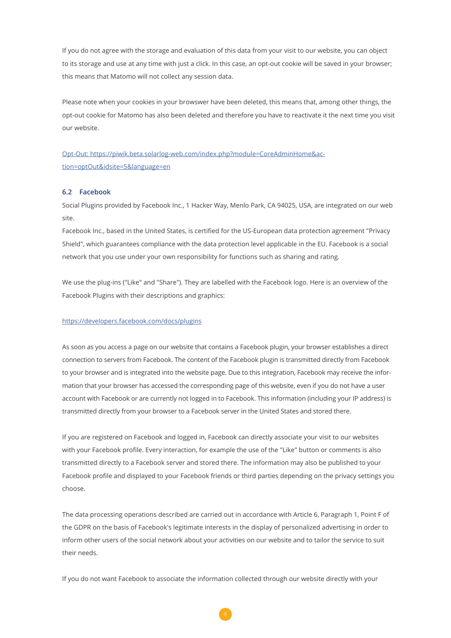If you do not agree with the storage and evaluation of this data from your visit to our website, you can object to its storage and use at any time with just a click. In this case, an opt-out cookie will be saved in your browser; this means that Matomo will not collect any session data.

Please note when your cookies in your browswer have been deleted, this means that, among other things, the opt-out cookie for Matomo has also been deleted and therefore you have to reactivate it the next time you visit our website.

[Opt-Out: https://piwik.beta.solarlog-web.com/index.php?module=CoreAdminHome&ac](https://piwik.beta.solarlog-web.com/index.php?module=CoreAdminHome&action=optOut&idsite=5&language=en)[tion=optOut&idsite=5&language=en](https://piwik.beta.solarlog-web.com/index.php?module=CoreAdminHome&action=optOut&idsite=5&language=en)

#### **6.2 Facebook**

Social Plugins provided by Facebook Inc., 1 Hacker Way, Menlo Park, CA 94025, USA, are integrated on our web site.

Facebook Inc., based in the United States, is certified for the US-European data protection agreement "Privacy Shield", which guarantees compliance with the data protection level applicable in the EU. Facebook is a social network that you use under your own responsibility for functions such as sharing and rating.

We use the plug-ins ("Like" and "Share"). They are labelled with the Facebook logo. Here is an overview of the Facebook Plugins with their descriptions and graphics:

#### <https://developers.facebook.com/docs/plugins>

As soon as you access a page on our website that contains a Facebook plugin, your browser establishes a direct connection to servers from Facebook. The content of the Facebook plugin is transmitted directly from Facebook to your browser and is integrated into the website page. Due to this integration, Facebook may receive the information that your browser has accessed the corresponding page of this website, even if you do not have a user account with Facebook or are currently not logged in to Facebook. This information (including your IP address) is transmitted directly from your browser to a Facebook server in the United States and stored there.

If you are registered on Facebook and logged in, Facebook can directly associate your visit to our websites with your Facebook profile. Every interaction, for example the use of the "Like" button or comments is also transmitted directly to a Facebook server and stored there. The information may also be published to your Facebook profile and displayed to your Facebook friends or third parties depending on the privacy settings you choose.

The data processing operations described are carried out in accordance with Article 6, Paragraph 1, Point F of the GDPR on the basis of Facebook's legitimate interests in the display of personalized advertising in order to inform other users of the social network about your activities on our website and to tailor the service to suit their needs.

If you do not want Facebook to associate the information collected through our website directly with your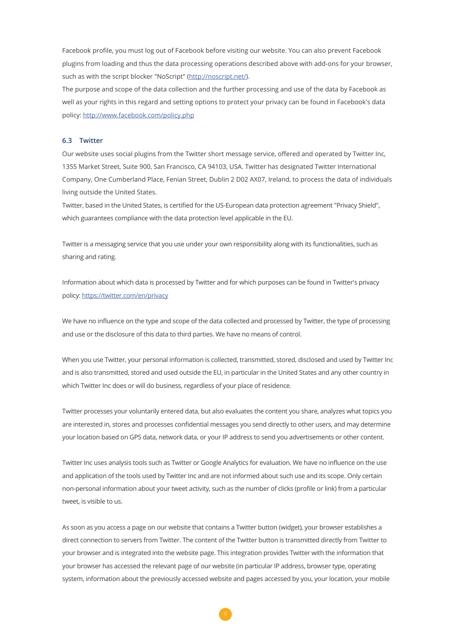Facebook profile, you must log out of Facebook before visiting our website. You can also prevent Facebook plugins from loading and thus the data processing operations described above with add-ons for your browser, such as with the script blocker "NoScript" (<http://noscript.net/>).

The purpose and scope of the data collection and the further processing and use of the data by Facebook as well as your rights in this regard and setting options to protect your privacy can be found in Facebook's data policy: <http://www.facebook.com/policy.php>

#### **6.3 Twitter**

Our website uses social plugins from the Twitter short message service, offered and operated by Twitter Inc, 1355 Market Street, Suite 900, San Francisco, CA 94103, USA. Twitter has designated Twitter International Company, One Cumberland Place, Fenian Street, Dublin 2 D02 AX07, Ireland, to process the data of individuals living outside the United States.

Twitter, based in the United States, is certified for the US-European data protection agreement "Privacy Shield", which guarantees compliance with the data protection level applicable in the EU.

Twitter is a messaging service that you use under your own responsibility along with its functionalities, such as sharing and rating.

Information about which data is processed by Twitter and for which purposes can be found in Twitter's privacy policy:<https://twitter.com/en/privacy>

We have no influence on the type and scope of the data collected and processed by Twitter, the type of processing and use or the disclosure of this data to third parties. We have no means of control.

When you use Twitter, your personal information is collected, transmitted, stored, disclosed and used by Twitter Inc and is also transmitted, stored and used outside the EU, in particular in the United States and any other country in which Twitter Inc does or will do business, regardless of your place of residence.

Twitter processes your voluntarily entered data, but also evaluates the content you share, analyzes what topics you are interested in, stores and processes confidential messages you send directly to other users, and may determine your location based on GPS data, network data, or your IP address to send you advertisements or other content.

Twitter Inc uses analysis tools such as Twitter or Google Analytics for evaluation. We have no influence on the use and application of the tools used by Twitter Inc and are not informed about such use and its scope. Only certain non-personal information about your tweet activity, such as the number of clicks (profile or link) from a particular tweet, is visible to us.

As soon as you access a page on our website that contains a Twitter button (widget), your browser establishes a direct connection to servers from Twitter. The content of the Twitter button is transmitted directly from Twitter to your browser and is integrated into the website page. This integration provides Twitter with the information that your browser has accessed the relevant page of our website (in particular IP address, browser type, operating system, information about the previously accessed website and pages accessed by you, your location, your mobile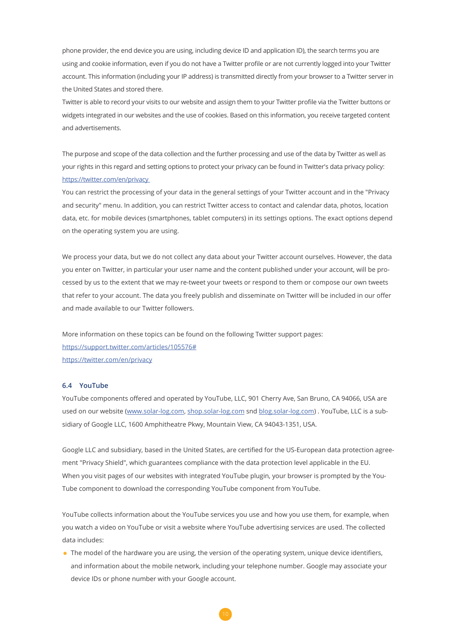phone provider, the end device you are using, including device ID and application ID), the search terms you are using and cookie information, even if you do not have a Twitter profile or are not currently logged into your Twitter account. This information (including your IP address) is transmitted directly from your browser to a Twitter server in the United States and stored there.

Twitter is able to record your visits to our website and assign them to your Twitter profile via the Twitter buttons or widgets integrated in our websites and the use of cookies. Based on this information, you receive targeted content and advertisements.

The purpose and scope of the data collection and the further processing and use of the data by Twitter as well as your rights in this regard and setting options to protect your privacy can be found in Twitter's data privacy policy: <https://twitter.com/en/privacy>

You can restrict the processing of your data in the general settings of your Twitter account and in the "Privacy and security" menu. In addition, you can restrict Twitter access to contact and calendar data, photos, location data, etc. for mobile devices (smartphones, tablet computers) in its settings options. The exact options depend on the operating system you are using.

We process your data, but we do not collect any data about your Twitter account ourselves. However, the data you enter on Twitter, in particular your user name and the content published under your account, will be processed by us to the extent that we may re-tweet your tweets or respond to them or compose our own tweets that refer to your account. The data you freely publish and disseminate on Twitter will be included in our offer and made available to our Twitter followers.

More information on these topics can be found on the following Twitter support pages: <https://support.twitter.com/articles/105576#> <https://twitter.com/en/privacy>

#### **6.4 YouTube**

YouTube components offered and operated by YouTube, LLC, 901 Cherry Ave, San Bruno, CA 94066, USA are used on our website ([www.solar-log.com](http://www.solar-log.com), [shop.solar-log.com](http://shop.solar-log.com) snd [blog.solar-log.com\)](http://blog.solar-log.com) . YouTube, LLC is a subsidiary of Google LLC, 1600 Amphitheatre Pkwy, Mountain View, CA 94043-1351, USA.

Google LLC and subsidiary, based in the United States, are certified for the US-European data protection agreement "Privacy Shield", which guarantees compliance with the data protection level applicable in the EU. When you visit pages of our websites with integrated YouTube plugin, your browser is prompted by the You-Tube component to download the corresponding YouTube component from YouTube.

YouTube collects information about the YouTube services you use and how you use them, for example, when you watch a video on YouTube or visit a website where YouTube advertising services are used. The collected data includes:

• The model of the hardware you are using, the version of the operating system, unique device identifiers, and information about the mobile network, including your telephone number. Google may associate your device IDs or phone number with your Google account.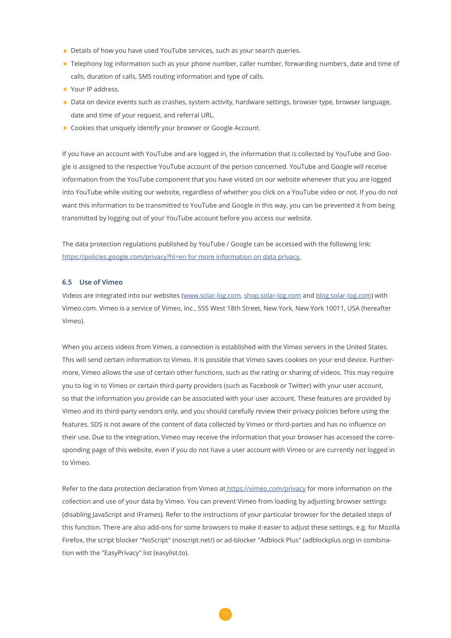- Details of how you have used YouTube services, such as your search queries.
- Telephony log information such as your phone number, caller number, forwarding numbers, date and time of calls, duration of calls, SMS routing information and type of calls.
- Your IP address.
- Data on device events such as crashes, system activity, hardware settings, browser type, browser language, date and time of your request, and referral URL.
- Cookies that uniquely identify your browser or Google Account.

If you have an account with YouTube and are logged in, the information that is collected by YouTube and Google is assigned to the respective YouTube account of the person concerned. YouTube and Google will receive information from the YouTube component that you have visited on our website whenever that you are logged into YouTube while visiting our website, regardless of whether you click on a YouTube video or not. If you do not want this information to be transmitted to YouTube and Google in this way, you can be prevented it from being transmitted by logging out of your YouTube account before you access our website.

The data protection regulations published by YouTube / Google can be accessed with the following link: [https://policies.google.com/privacy?hl=en for more information on data privacy.](https://policies.google.com/privacy?hl=en%20for%20more%20information%20on%20data%20privacy.)

#### **6.5 Use of Vimeo**

Videos are integrated into our websites [\(www.solar-log.com,](http://www.solar-log.com) [shop.solar-log.com](http://shop.solar-log.com) and [blog.solar-log.com](http://blog.solar-log.com)) with Vimeo.com. Vimeo is a service of Vimeo, Inc., 555 West 18th Street, New York, New York 10011, USA (hereafter Vimeo).

When you access videos from Vimeo, a connection is established with the Vimeo servers in the United States. This will send certain information to Vimeo. It is possible that Vimeo saves cookies on your end device. Furthermore, Vimeo allows the use of certain other functions, such as the rating or sharing of videos. This may require you to log in to Vimeo or certain third-party providers (such as Facebook or Twitter) with your user account, so that the information you provide can be associated with your user account. These features are provided by Vimeo and its third-party vendors only, and you should carefully review their privacy policies before using the features. SDS is not aware of the content of data collected by Vimeo or third-parties and has no influence on their use. Due to the integration, Vimeo may receive the information that your browser has accessed the corresponding page of this website, even if you do not have a user account with Vimeo or are currently not logged in to Vimeo.

Refer to the data protection declaration from Vimeo at<https://vimeo.com/privacy>for more information on the collection and use of your data by Vimeo. You can prevent Vimeo from loading by adjusting browser settings (disabling JavaScript and iFrames). Refer to the instructions of your particular browser for the detailed steps of this function. There are also add-ons for some browsers to make it easier to adjust these settings, e.g. for Mozilla Firefox, the script blocker "NoScript" (noscript.net/) or ad-blocker "Adblock Plus" (adblockplus.org) in combination with the "EasyPrivacy" list (easylist.to).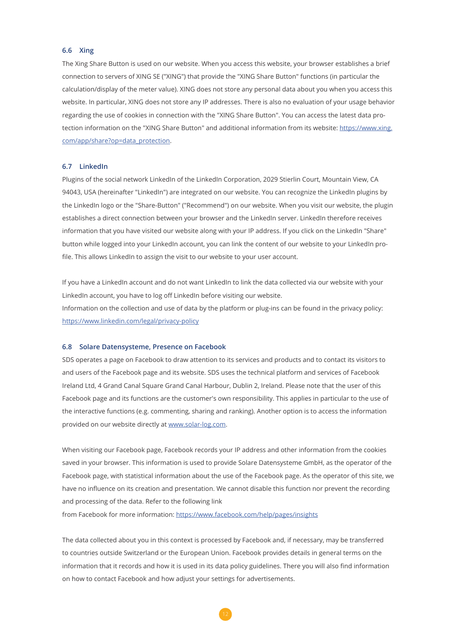#### **6.6 Xing**

The Xing Share Button is used on our website. When you access this website, your browser establishes a brief connection to servers of XING SE ("XING") that provide the "XING Share Button" functions (in particular the calculation/display of the meter value). XING does not store any personal data about you when you access this website. In particular, XING does not store any IP addresses. There is also no evaluation of your usage behavior regarding the use of cookies in connection with the "XING Share Button". You can access the latest data protection information on the "XING Share Button" and additional information from its website: [https://www.xing.](https://www.xing.com/app/share?op=data_protection) [com/app/share?op=data\\_protection](https://www.xing.com/app/share?op=data_protection).

#### **6.7 LinkedIn**

Plugins of the social network LinkedIn of the LinkedIn Corporation, 2029 Stierlin Court, Mountain View, CA 94043, USA (hereinafter "LinkedIn") are integrated on our website. You can recognize the LinkedIn plugins by the LinkedIn logo or the "Share-Button" ("Recommend") on our website. When you visit our website, the plugin establishes a direct connection between your browser and the LinkedIn server. LinkedIn therefore receives information that you have visited our website along with your IP address. If you click on the LinkedIn "Share" button while logged into your LinkedIn account, you can link the content of our website to your LinkedIn profile. This allows LinkedIn to assign the visit to our website to your user account.

If you have a LinkedIn account and do not want LinkedIn to link the data collected via our website with your LinkedIn account, you have to log off LinkedIn before visiting our website. Information on the collection and use of data by the platform or plug-ins can be found in the privacy policy: <https://www.linkedin.com/legal/privacy-policy>

#### **6.8 Solare Datensysteme, Presence on Facebook**

SDS operates a page on Facebook to draw attention to its services and products and to contact its visitors to and users of the Facebook page and its website. SDS uses the technical platform and services of Facebook Ireland Ltd, 4 Grand Canal Square Grand Canal Harbour, Dublin 2, Ireland. Please note that the user of this Facebook page and its functions are the customer's own responsibility. This applies in particular to the use of the interactive functions (e.g. commenting, sharing and ranking). Another option is to access the information provided on our website directly at [www.solar-log.com](http://www.solar-log.com).

When visiting our Facebook page, Facebook records your IP address and other information from the cookies saved in your browser. This information is used to provide Solare Datensysteme GmbH, as the operator of the Facebook page, with statistical information about the use of the Facebook page. As the operator of this site, we have no influence on its creation and presentation. We cannot disable this function nor prevent the recording and processing of the data. Refer to the following link

from Facebook for more information: <https://www.facebook.com/help/pages/insights>

The data collected about you in this context is processed by Facebook and, if necessary, may be transferred to countries outside Switzerland or the European Union. Facebook provides details in general terms on the information that it records and how it is used in its data policy guidelines. There you will also find information on how to contact Facebook and how adjust your settings for advertisements.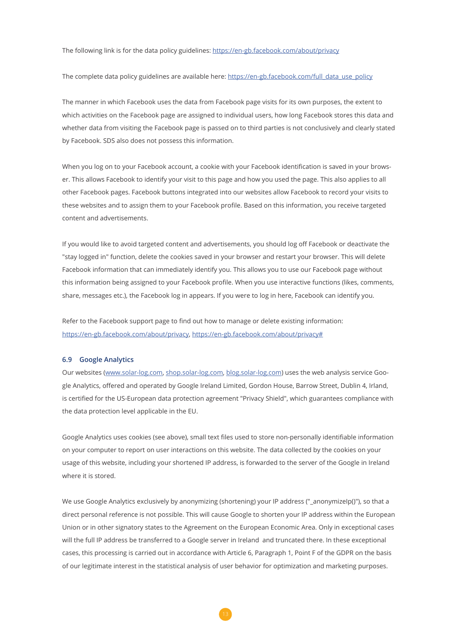The following link is for the data policy guidelines: <https://en-gb.facebook.com/about/privacy>

The complete data policy guidelines are available here: [https://en-gb.facebook.com/full\\_data\\_use\\_policy](https://en-gb.facebook.com/full_data_use_policy)

The manner in which Facebook uses the data from Facebook page visits for its own purposes, the extent to which activities on the Facebook page are assigned to individual users, how long Facebook stores this data and whether data from visiting the Facebook page is passed on to third parties is not conclusively and clearly stated by Facebook. SDS also does not possess this information.

When you log on to your Facebook account, a cookie with your Facebook identification is saved in your browser. This allows Facebook to identify your visit to this page and how you used the page. This also applies to all other Facebook pages. Facebook buttons integrated into our websites allow Facebook to record your visits to these websites and to assign them to your Facebook profile. Based on this information, you receive targeted content and advertisements.

If you would like to avoid targeted content and advertisements, you should log off Facebook or deactivate the "stay logged in" function, delete the cookies saved in your browser and restart your browser. This will delete Facebook information that can immediately identify you. This allows you to use our Facebook page without this information being assigned to your Facebook profile. When you use interactive functions (likes, comments, share, messages etc.), the Facebook log in appears. If you were to log in here, Facebook can identify you.

Refer to the Facebook support page to find out how to manage or delete existing information: <https://en-gb.facebook.com/about/privacy>, <https://en-gb.facebook.com/about/privacy#>

#### **6.9 Google Analytics**

Our websites [\(www.solar-log.com,](http://www.solar-log.com) [shop.solar-log.com](http://shop.solar-log.com), [blog.solar-log.com\)](http://blog.solar-log.com) uses the web analysis service Google Analytics, offered and operated by Google Ireland Limited, Gordon House, Barrow Street, Dublin 4, Irland, is certified for the US-European data protection agreement "Privacy Shield", which guarantees compliance with the data protection level applicable in the EU.

Google Analytics uses cookies (see above), small text files used to store non-personally identifiable information on your computer to report on user interactions on this website. The data collected by the cookies on your usage of this website, including your shortened IP address, is forwarded to the server of the Google in Ireland where it is stored.

We use Google Analytics exclusively by anonymizing (shortening) your IP address ("\_anonymizeIp()"), so that a direct personal reference is not possible. This will cause Google to shorten your IP address within the European Union or in other signatory states to the Agreement on the European Economic Area. Only in exceptional cases will the full IP address be transferred to a Google server in Ireland and truncated there. In these exceptional cases, this processing is carried out in accordance with Article 6, Paragraph 1, Point F of the GDPR on the basis of our legitimate interest in the statistical analysis of user behavior for optimization and marketing purposes.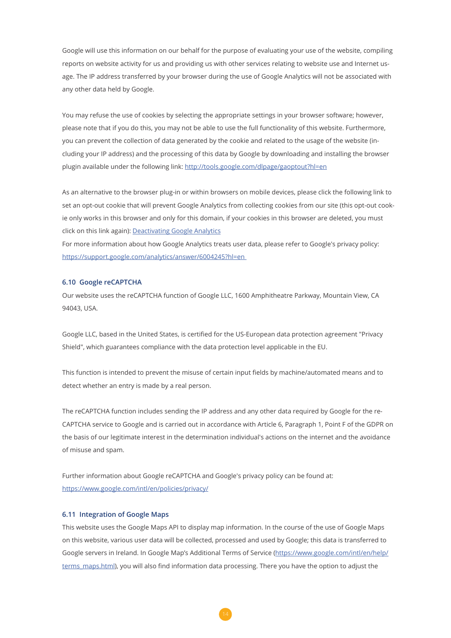Google will use this information on our behalf for the purpose of evaluating your use of the website, compiling reports on website activity for us and providing us with other services relating to website use and Internet usage. The IP address transferred by your browser during the use of Google Analytics will not be associated with any other data held by Google.

You may refuse the use of cookies by selecting the appropriate settings in your browser software; however, please note that if you do this, you may not be able to use the full functionality of this website. Furthermore, you can prevent the collection of data generated by the cookie and related to the usage of the website (including your IP address) and the processing of this data by Google by downloading and installing the browser plugin available under the following link:<http://tools.google.com/dlpage/gaoptout?hl=en>

As an alternative to the browser plug-in or within browsers on mobile devices, please click the following link to set an opt-out cookie that will prevent Google Analytics from collecting cookies from our site (this opt-out cookie only works in this browser and only for this domain, if your cookies in this browser are deleted, you must click on this link again): [Deactivating Google Analytics](javascript:gaOptout())

For more information about how Google Analytics treats user data, please refer to Google's privacy policy: <https://support.google.com/analytics/answer/6004245?hl=en>

#### **6.10 Google reCAPTCHA**

Our website uses the reCAPTCHA function of Google LLC, 1600 Amphitheatre Parkway, Mountain View, CA 94043, USA.

Google LLC, based in the United States, is certified for the US-European data protection agreement "Privacy Shield", which guarantees compliance with the data protection level applicable in the EU.

This function is intended to prevent the misuse of certain input fields by machine/automated means and to detect whether an entry is made by a real person.

The reCAPTCHA function includes sending the IP address and any other data required by Google for the re-CAPTCHA service to Google and is carried out in accordance with Article 6, Paragraph 1, Point F of the GDPR on the basis of our legitimate interest in the determination individual's actions on the internet and the avoidance of misuse and spam.

Further information about Google reCAPTCHA and Google's privacy policy can be found at: <https://www.google.com/intl/en/policies/privacy/>

#### **6.11 Integration of Google Maps**

This website uses the Google Maps API to display map information. In the course of the use of Google Maps on this website, various user data will be collected, processed and used by Google; this data is transferred to Google servers in Ireland. In Google Map's Additional Terms of Service ([https://www.google.com/intl/en/help/](https://www.google.com/intl/en/help/terms_maps.html) [terms\\_maps.html](https://www.google.com/intl/en/help/terms_maps.html)), you will also find information data processing. There you have the option to adjust the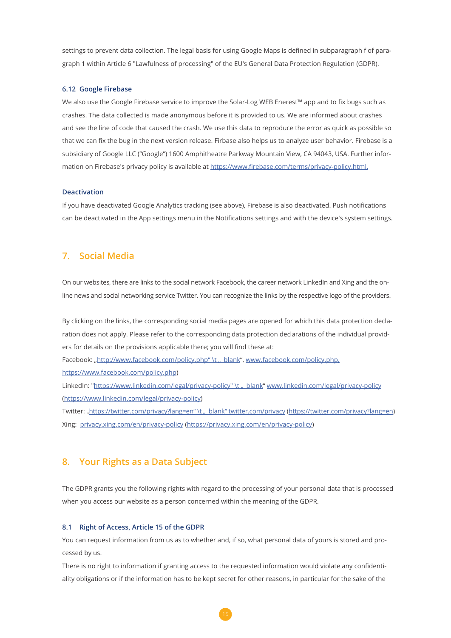settings to prevent data collection. The legal basis for using Google Maps is defined in subparagraph f of paragraph 1 within Article 6 "Lawfulness of processing" of the EU's General Data Protection Regulation (GDPR).

#### **6.12 Google Firebase**

We also use the Google Firebase service to improve the Solar-Log WEB Enerest™ app and to fix bugs such as crashes. The data collected is made anonymous before it is provided to us. We are informed about crashes and see the line of code that caused the crash. We use this data to reproduce the error as quick as possible so that we can fix the bug in the next version release. Firbase also helps us to analyze user behavior. Firebase is a subsidiary of Google LLC ("Google") 1600 Amphitheatre Parkway Mountain View, CA 94043, USA. Further information on Firebase's privacy policy is available at [https://www.firebase.com/terms/privacy-policy.html.](https://www.firebase.com/terms/privacy-policy.html)

#### **Deactivation**

If you have deactivated Google Analytics tracking (see above), Firebase is also deactivated. Push notifications can be deactivated in the App settings menu in the Notifications settings and with the device's system settings.

### **7. Social Media**

On our websites, there are links to the social network Facebook, the career network LinkedIn and Xing and the online news and social networking service Twitter. You can recognize the links by the respective logo of the providers.

By clicking on the links, the corresponding social media pages are opened for which this data protection declaration does not apply. Please refer to the corresponding data protection declarations of the individual providers for details on the provisions applicable there; you will find these at: Facebook: "http://[www.facebook.com/policy.php](http://awww.facebook.com/policy.php)" \t " blank", www.facebook.com/policy.php, [https://www.facebook.com/policy.php\)](https://www.facebook.com/policy.php) LinkedIn: "https://www.linkedin.com/legal/privacy-policy" \t " blank" [www.linkedin.com/legal/privacy-policy](http://www.linkedin.com/legal/privacy-policy) (<https://www.linkedin.com/legal/privacy-policy>) Twitter: "[https://twitter.com/privacy?lang=en" \t "\\_blank" twitter.com/privacy](https://twitter.com/privacy?lang=en“%20\t%20„_blank“%20twitter.com/privacy) [\(https://twitter.com/privacy?lang=en](https://twitter.com/privacy?lang=en)) Xing: [privacy.xing.com/en/privacy-policy](http://privacy.xing.com/en/privacy-policy) (<https://privacy.xing.com/en/privacy-policy>)

### **8. Your Rights as a Data Subject**

The GDPR grants you the following rights with regard to the processing of your personal data that is processed when you access our website as a person concerned within the meaning of the GDPR.

#### **8.1 Right of Access, Article 15 of the GDPR**

You can request information from us as to whether and, if so, what personal data of yours is stored and processed by us.

There is no right to information if granting access to the requested information would violate any confidentiality obligations or if the information has to be kept secret for other reasons, in particular for the sake of the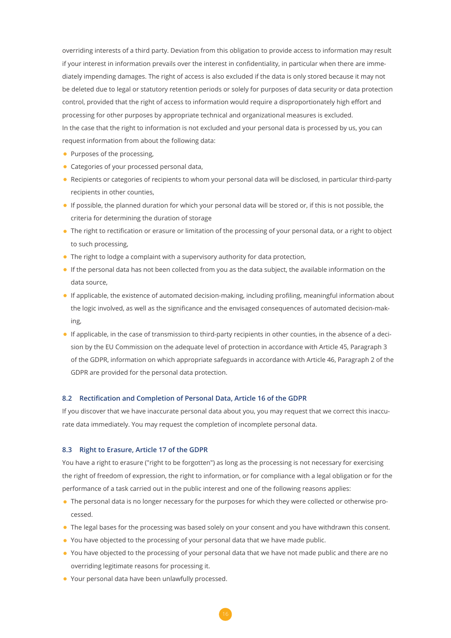overriding interests of a third party. Deviation from this obligation to provide access to information may result if your interest in information prevails over the interest in confidentiality, in particular when there are immediately impending damages. The right of access is also excluded if the data is only stored because it may not be deleted due to legal or statutory retention periods or solely for purposes of data security or data protection control, provided that the right of access to information would require a disproportionately high effort and processing for other purposes by appropriate technical and organizational measures is excluded. In the case that the right to information is not excluded and your personal data is processed by us, you can request information from about the following data:

- Purposes of the processing,
- Categories of your processed personal data,
- Recipients or categories of recipients to whom your personal data will be disclosed, in particular third-party recipients in other counties,
- If possible, the planned duration for which your personal data will be stored or, if this is not possible, the criteria for determining the duration of storage
- The right to rectification or erasure or limitation of the processing of your personal data, or a right to object to such processing,
- The right to lodge a complaint with a supervisory authority for data protection,
- If the personal data has not been collected from you as the data subject, the available information on the data source,
- If applicable, the existence of automated decision-making, including profiling, meaningful information about the logic involved, as well as the significance and the envisaged consequences of automated decision-making,
- If applicable, in the case of transmission to third-party recipients in other counties, in the absence of a decision by the EU Commission on the adequate level of protection in accordance with Article 45, Paragraph 3 of the GDPR, information on which appropriate safeguards in accordance with Article 46, Paragraph 2 of the GDPR are provided for the personal data protection.

#### **8.2 Rectification and Completion of Personal Data, Article 16 of the GDPR**

If you discover that we have inaccurate personal data about you, you may request that we correct this inaccurate data immediately. You may request the completion of incomplete personal data.

#### **8.3 Right to Erasure, Article 17 of the GDPR**

You have a right to erasure ("right to be forgotten") as long as the processing is not necessary for exercising the right of freedom of expression, the right to information, or for compliance with a legal obligation or for the performance of a task carried out in the public interest and one of the following reasons applies:

- The personal data is no longer necessary for the purposes for which they were collected or otherwise processed.
- The legal bases for the processing was based solely on your consent and you have withdrawn this consent.
- You have objected to the processing of your personal data that we have made public.
- You have objected to the processing of your personal data that we have not made public and there are no overriding legitimate reasons for processing it.
- Your personal data have been unlawfully processed.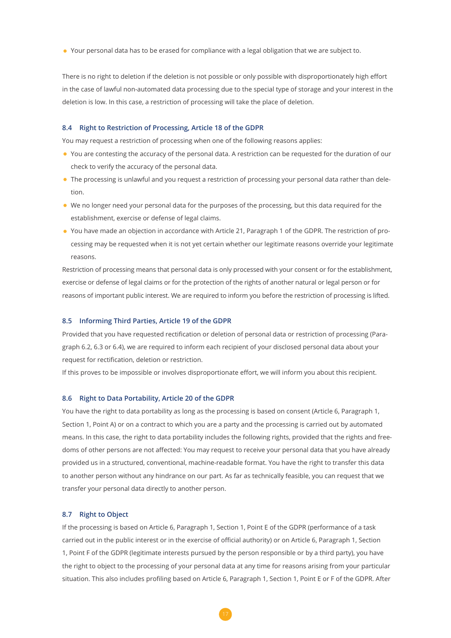• Your personal data has to be erased for compliance with a legal obligation that we are subject to.

There is no right to deletion if the deletion is not possible or only possible with disproportionately high effort in the case of lawful non-automated data processing due to the special type of storage and your interest in the deletion is low. In this case, a restriction of processing will take the place of deletion.

#### **8.4 Right to Restriction of Processing, Article 18 of the GDPR**

You may request a restriction of processing when one of the following reasons applies:

- You are contesting the accuracy of the personal data. A restriction can be requested for the duration of our check to verify the accuracy of the personal data.
- The processing is unlawful and you request a restriction of processing your personal data rather than deletion.
- We no longer need your personal data for the purposes of the processing, but this data required for the establishment, exercise or defense of legal claims.
- You have made an objection in accordance with Article 21, Paragraph 1 of the GDPR. The restriction of processing may be requested when it is not yet certain whether our legitimate reasons override your legitimate reasons.

Restriction of processing means that personal data is only processed with your consent or for the establishment, exercise or defense of legal claims or for the protection of the rights of another natural or legal person or for reasons of important public interest. We are required to inform you before the restriction of processing is lifted.

#### **8.5 Informing Third Parties, Article 19 of the GDPR**

Provided that you have requested rectification or deletion of personal data or restriction of processing (Paragraph 6.2, 6.3 or 6.4), we are required to inform each recipient of your disclosed personal data about your request for rectification, deletion or restriction.

If this proves to be impossible or involves disproportionate effort, we will inform you about this recipient.

#### **8.6 Right to Data Portability, Article 20 of the GDPR**

You have the right to data portability as long as the processing is based on consent (Article 6, Paragraph 1, Section 1, Point A) or on a contract to which you are a party and the processing is carried out by automated means. In this case, the right to data portability includes the following rights, provided that the rights and freedoms of other persons are not affected: You may request to receive your personal data that you have already provided us in a structured, conventional, machine-readable format. You have the right to transfer this data to another person without any hindrance on our part. As far as technically feasible, you can request that we transfer your personal data directly to another person.

#### **8.7 Right to Object**

If the processing is based on Article 6, Paragraph 1, Section 1, Point E of the GDPR (performance of a task carried out in the public interest or in the exercise of official authority) or on Article 6, Paragraph 1, Section 1, Point F of the GDPR (legitimate interests pursued by the person responsible or by a third party), you have the right to object to the processing of your personal data at any time for reasons arising from your particular situation. This also includes profiling based on Article 6, Paragraph 1, Section 1, Point E or F of the GDPR. After